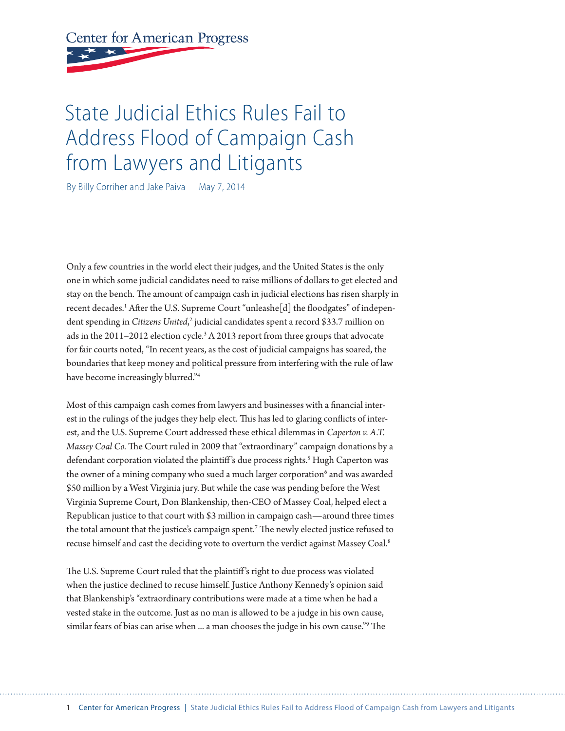# **Center for American Progress**

# State Judicial Ethics Rules Fail to Address Flood of Campaign Cash from Lawyers and Litigants

By Billy Corriher and Jake Paiva May 7, 2014

Only a few countries in the world elect their judges, and the United States is the only one in which some judicial candidates need to raise millions of dollars to get elected and stay on the bench. The amount of campaign cash in judicial elections has risen sharply in recent decades.<sup>1</sup> After the U.S. Supreme Court "unleashe[d] the floodgates" of independent spending in *Citizens United,<sup>2</sup>* judicial candidates spent a record \$33.7 million on ads in the 2011–2012 election cycle.<sup>3</sup> A 2013 report from three groups that advocate for fair courts noted, "In recent years, as the cost of judicial campaigns has soared, the boundaries that keep money and political pressure from interfering with the rule of law have become increasingly blurred."4

Most of this campaign cash comes from lawyers and businesses with a financial interest in the rulings of the judges they help elect. This has led to glaring conflicts of interest, and the U.S. Supreme Court addressed these ethical dilemmas in *Caperton v. A.T. Massey Coal Co.* The Court ruled in 2009 that "extraordinary" campaign donations by a defendant corporation violated the plaintiff's due process rights.<sup>5</sup> Hugh Caperton was the owner of a mining company who sued a much larger corporation<sup>6</sup> and was awarded \$50 million by a West Virginia jury. But while the case was pending before the West Virginia Supreme Court, Don Blankenship, then-CEO of Massey Coal, helped elect a Republican justice to that court with \$3 million in campaign cash—around three times the total amount that the justice's campaign spent.7 The newly elected justice refused to recuse himself and cast the deciding vote to overturn the verdict against Massey Coal.<sup>8</sup>

The U.S. Supreme Court ruled that the plaintiff 's right to due process was violated when the justice declined to recuse himself. Justice Anthony Kennedy's opinion said that Blankenship's "extraordinary contributions were made at a time when he had a vested stake in the outcome. Just as no man is allowed to be a judge in his own cause, similar fears of bias can arise when ... a man chooses the judge in his own cause."9 The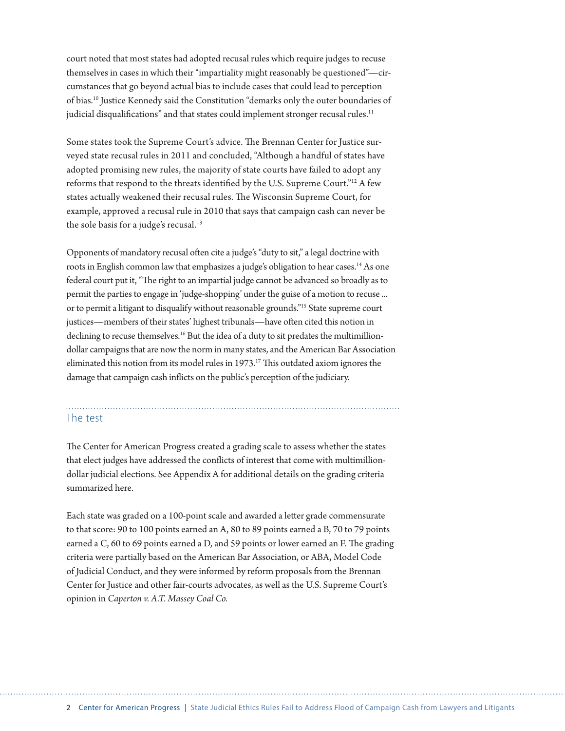court noted that most states had adopted recusal rules which require judges to recuse themselves in cases in which their "impartiality might reasonably be questioned"—circumstances that go beyond actual bias to include cases that could lead to perception of bias.10 Justice Kennedy said the Constitution "demarks only the outer boundaries of judicial disqualifications" and that states could implement stronger recusal rules.<sup>11</sup>

Some states took the Supreme Court's advice. The Brennan Center for Justice surveyed state recusal rules in 2011 and concluded, "Although a handful of states have adopted promising new rules, the majority of state courts have failed to adopt any reforms that respond to the threats identified by the U.S. Supreme Court."12 A few states actually weakened their recusal rules. The Wisconsin Supreme Court, for example, approved a recusal rule in 2010 that says that campaign cash can never be the sole basis for a judge's recusal.<sup>13</sup>

Opponents of mandatory recusal often cite a judge's "duty to sit," a legal doctrine with roots in English common law that emphasizes a judge's obligation to hear cases.<sup>14</sup> As one federal court put it, "The right to an impartial judge cannot be advanced so broadly as to permit the parties to engage in 'judge-shopping' under the guise of a motion to recuse ... or to permit a litigant to disqualify without reasonable grounds."15 State supreme court justices—members of their states' highest tribunals—have often cited this notion in declining to recuse themselves.<sup>16</sup> But the idea of a duty to sit predates the multimilliondollar campaigns that are now the norm in many states, and the American Bar Association eliminated this notion from its model rules in 1973.<sup>17</sup> This outdated axiom ignores the damage that campaign cash inflicts on the public's perception of the judiciary.

#### The test

The Center for American Progress created a grading scale to assess whether the states that elect judges have addressed the conflicts of interest that come with multimilliondollar judicial elections. See Appendix A for additional details on the grading criteria summarized here.

Each state was graded on a 100-point scale and awarded a letter grade commensurate to that score: 90 to 100 points earned an A, 80 to 89 points earned a B, 70 to 79 points earned a C, 60 to 69 points earned a D, and 59 points or lower earned an F. The grading criteria were partially based on the American Bar Association, or ABA, Model Code of Judicial Conduct, and they were informed by reform proposals from the Brennan Center for Justice and other fair-courts advocates, as well as the U.S. Supreme Court's opinion in *Caperton v. A.T. Massey Coal Co.*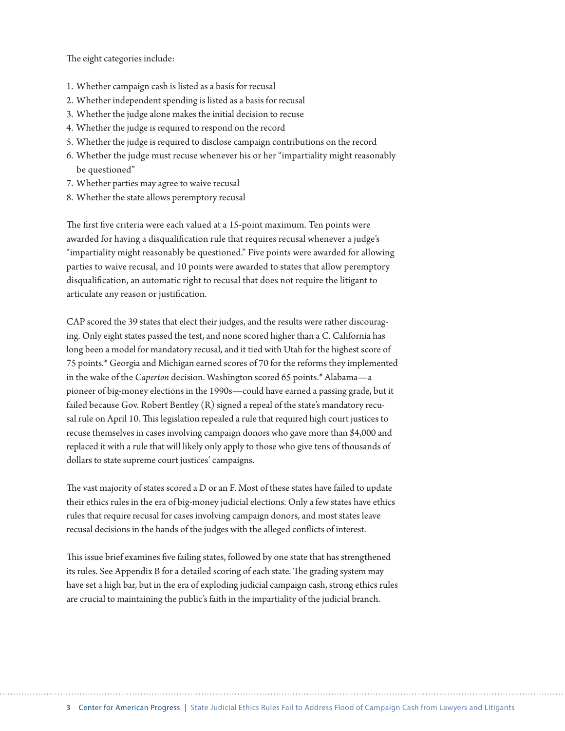The eight categories include:

- 1. Whether campaign cash is listed as a basis for recusal
- 2. Whether independent spending is listed as a basis for recusal
- 3. Whether the judge alone makes the initial decision to recuse
- 4. Whether the judge is required to respond on the record
- 5. Whether the judge is required to disclose campaign contributions on the record
- 6. Whether the judge must recuse whenever his or her "impartiality might reasonably be questioned"
- 7. Whether parties may agree to waive recusal
- 8. Whether the state allows peremptory recusal

The first five criteria were each valued at a 15-point maximum. Ten points were awarded for having a disqualification rule that requires recusal whenever a judge's "impartiality might reasonably be questioned." Five points were awarded for allowing parties to waive recusal, and 10 points were awarded to states that allow peremptory disqualification, an automatic right to recusal that does not require the litigant to articulate any reason or justification.

CAP scored the 39 states that elect their judges, and the results were rather discouraging. Only eight states passed the test, and none scored higher than a C. California has long been a model for mandatory recusal, and it tied with Utah for the highest score of 75 points.\* Georgia and Michigan earned scores of 70 for the reforms they implemented in the wake of the *Caperton* decision. Washington scored 65 points.\* Alabama—a pioneer of big-money elections in the 1990s—could have earned a passing grade, but it failed because Gov. Robert Bentley (R) signed a repeal of the state's mandatory recusal rule on April 10. This legislation repealed a rule that required high court justices to recuse themselves in cases involving campaign donors who gave more than \$4,000 and replaced it with a rule that will likely only apply to those who give tens of thousands of dollars to state supreme court justices' campaigns.

The vast majority of states scored a D or an F. Most of these states have failed to update their ethics rules in the era of big-money judicial elections. Only a few states have ethics rules that require recusal for cases involving campaign donors, and most states leave recusal decisions in the hands of the judges with the alleged conflicts of interest.

This issue brief examines five failing states, followed by one state that has strengthened its rules. See Appendix B for a detailed scoring of each state. The grading system may have set a high bar, but in the era of exploding judicial campaign cash, strong ethics rules are crucial to maintaining the public's faith in the impartiality of the judicial branch.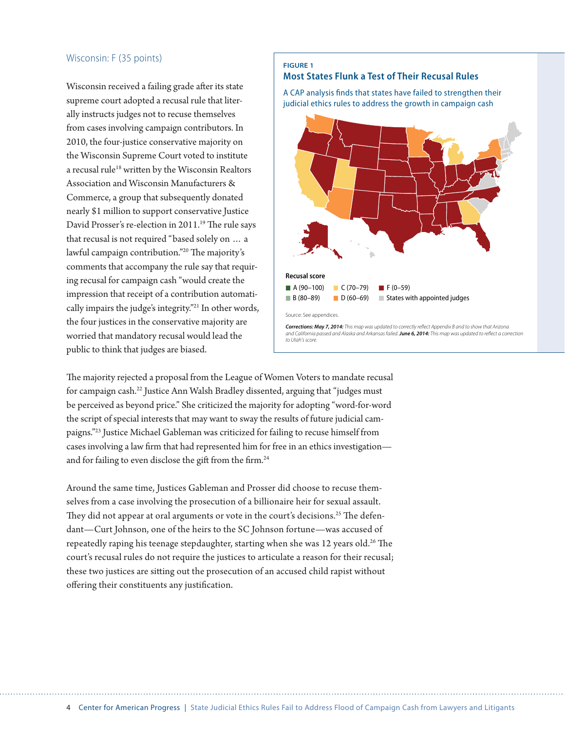#### Wisconsin: F (35 points)

Wisconsin received a failing grade after its state supreme court adopted a recusal rule that literally instructs judges not to recuse themselves from cases involving campaign contributors. In 2010, the four-justice conservative majority on the Wisconsin Supreme Court voted to institute a recusal rule<sup>18</sup> written by the Wisconsin Realtors Association and Wisconsin Manufacturers & Commerce, a group that subsequently donated nearly \$1 million to support conservative Justice David Prosser's re-election in 2011.<sup>19</sup> The rule says that recusal is not required "based solely on … a lawful campaign contribution."20 The majority's comments that accompany the rule say that requiring recusal for campaign cash "would create the impression that receipt of a contribution automatically impairs the judge's integrity."21 In other words, the four justices in the conservative majority are worried that mandatory recusal would lead the public to think that judges are biased.

#### **FIGURE 1 Most States Flunk a Test of Their Recusal Rules**

A CAP analysis finds that states have failed to strengthen their judicial ethics rules to address the growth in campaign cash



The majority rejected a proposal from the League of Women Voters to mandate recusal for campaign cash.22 Justice Ann Walsh Bradley dissented, arguing that "judges must be perceived as beyond price." She criticized the majority for adopting "word-for-word the script of special interests that may want to sway the results of future judicial campaigns."23 Justice Michael Gableman was criticized for failing to recuse himself from cases involving a law firm that had represented him for free in an ethics investigation and for failing to even disclose the gift from the firm.<sup>24</sup>

Around the same time, Justices Gableman and Prosser did choose to recuse themselves from a case involving the prosecution of a billionaire heir for sexual assault. They did not appear at oral arguments or vote in the court's decisions.<sup>25</sup> The defendant—Curt Johnson, one of the heirs to the SC Johnson fortune—was accused of repeatedly raping his teenage stepdaughter, starting when she was  $12$  years old.<sup>26</sup> The court's recusal rules do not require the justices to articulate a reason for their recusal; these two justices are sitting out the prosecution of an accused child rapist without offering their constituents any justification.

4 Center for American Progress | State Judicial Ethics Rules Fail to Address Flood of Campaign Cash from Lawyers and Litigants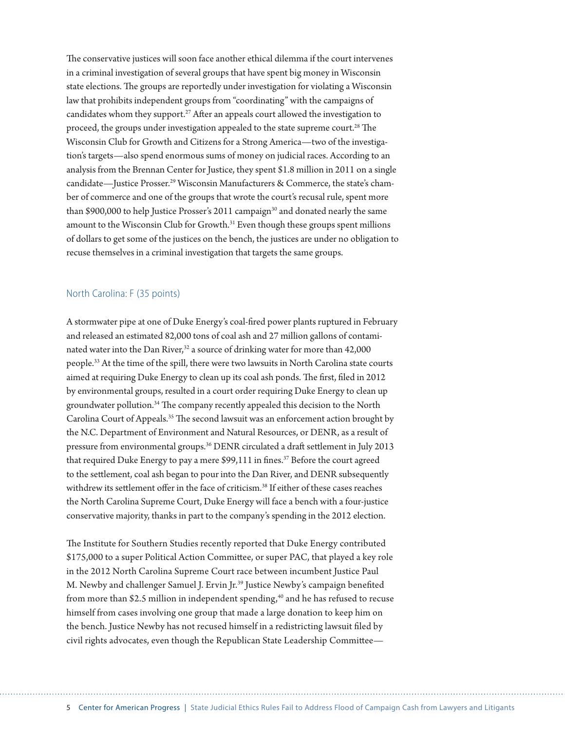The conservative justices will soon face another ethical dilemma if the court intervenes in a criminal investigation of several groups that have spent big money in Wisconsin state elections. The groups are reportedly under investigation for violating a Wisconsin law that prohibits independent groups from "coordinating" with the campaigns of candidates whom they support.<sup>27</sup> After an appeals court allowed the investigation to proceed, the groups under investigation appealed to the state supreme court.<sup>28</sup> The Wisconsin Club for Growth and Citizens for a Strong America—two of the investigation's targets—also spend enormous sums of money on judicial races. According to an analysis from the Brennan Center for Justice, they spent \$1.8 million in 2011 on a single candidate—Justice Prosser.<sup>29</sup> Wisconsin Manufacturers & Commerce, the state's chamber of commerce and one of the groups that wrote the court's recusal rule, spent more than \$900,000 to help Justice Prosser's 2011 campaign<sup>30</sup> and donated nearly the same amount to the Wisconsin Club for Growth.<sup>31</sup> Even though these groups spent millions of dollars to get some of the justices on the bench, the justices are under no obligation to recuse themselves in a criminal investigation that targets the same groups.

#### North Carolina: F (35 points)

A stormwater pipe at one of Duke Energy's coal-fired power plants ruptured in February and released an estimated 82,000 tons of coal ash and 27 million gallons of contaminated water into the Dan River,<sup>32</sup> a source of drinking water for more than 42,000 people.33 At the time of the spill, there were two lawsuits in North Carolina state courts aimed at requiring Duke Energy to clean up its coal ash ponds. The first, filed in 2012 by environmental groups, resulted in a court order requiring Duke Energy to clean up groundwater pollution.<sup>34</sup> The company recently appealed this decision to the North Carolina Court of Appeals.35 The second lawsuit was an enforcement action brought by the N.C. Department of Environment and Natural Resources, or DENR, as a result of pressure from environmental groups.36 DENR circulated a draft settlement in July 2013 that required Duke Energy to pay a mere \$99,111 in fines.<sup>37</sup> Before the court agreed to the settlement, coal ash began to pour into the Dan River, and DENR subsequently withdrew its settlement offer in the face of criticism.38 If either of these cases reaches the North Carolina Supreme Court, Duke Energy will face a bench with a four-justice conservative majority, thanks in part to the company's spending in the 2012 election.

The Institute for Southern Studies recently reported that Duke Energy contributed \$175,000 to a super Political Action Committee, or super PAC, that played a key role in the 2012 North Carolina Supreme Court race between incumbent Justice Paul M. Newby and challenger Samuel J. Ervin Jr.39 Justice Newby's campaign benefited from more than \$2.5 million in independent spending, $40$  and he has refused to recuse himself from cases involving one group that made a large donation to keep him on the bench. Justice Newby has not recused himself in a redistricting lawsuit filed by civil rights advocates, even though the Republican State Leadership Committee—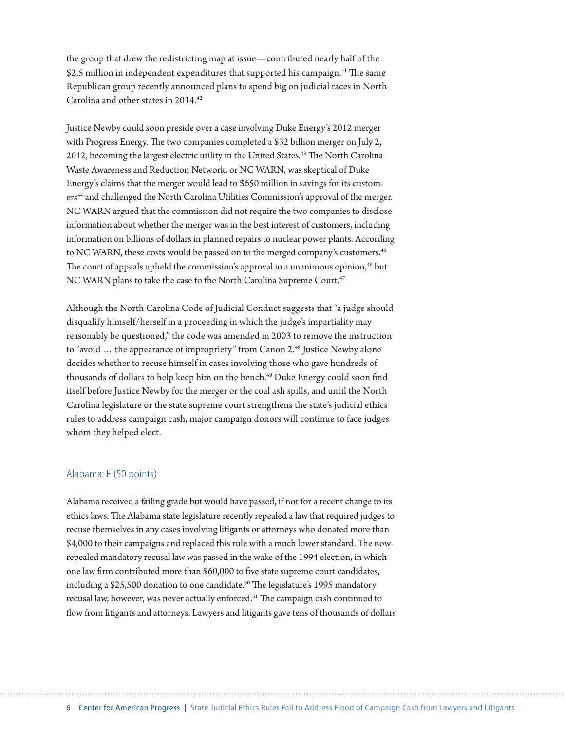the group that drew the redistricting map at issue—contributed nearly half of the \$2.5 million in independent expenditures that supported his campaign.<sup>41</sup> The same Republican group recently announced plans to spend big on judicial races in North Carolina and other states in 2014.42

Justice Newby could soon preside over a case involving Duke Energy's 2012 merger with Progress Energy. The two companies completed a \$32 billion merger on July 2, 2012, becoming the largest electric utility in the United States.<sup>43</sup> The North Carolina Waste Awareness and Reduction Network, or NC WARN, was skeptical of Duke Energy's claims that the merger would lead to \$650 million in savings for its customers<sup>44</sup> and challenged the North Carolina Utilities Commission's approval of the merger. NC WARN argued that the commission did not require the two companies to disclose information about whether the merger was in the best interest of customers, including information on billions of dollars in planned repairs to nuclear power plants. According to NC WARN, these costs would be passed on to the merged company's customers.<sup>45</sup> The court of appeals upheld the commission's approval in a unanimous opinion,<sup>46</sup> but NC WARN plans to take the case to the North Carolina Supreme Court.<sup>47</sup>

Although the North Carolina Code of Judicial Conduct suggests that "a judge should disqualify himself/herself in a proceeding in which the judge's impartiality may reasonably be questioned," the code was amended in 2003 to remove the instruction to "avoid ... the appearance of impropriety" from Canon 2.<sup>48</sup> Justice Newby alone decides whether to recuse himself in cases involving those who gave hundreds of thousands of dollars to help keep him on the bench.<sup>49</sup> Duke Energy could soon find itself before Justice Newby for the merger or the coal ash spills, and until the North Carolina legislature or the state supreme court strengthens the state's judicial ethics rules to address campaign cash, major campaign donors will continue to face judges whom they helped elect.

#### Alabama: F (50 points)

Alabama received a failing grade but would have passed, if not for a recent change to its ethics laws. The Alabama state legislature recently repealed a law that required judges to recuse themselves in any cases involving litigants or attorneys who donated more than \$4,000 to their campaigns and replaced this rule with a much lower standard. The nowrepealed mandatory recusal law was passed in the wake of the 1994 election, in which one law firm contributed more than \$60,000 to five state supreme court candidates, including a \$25,500 donation to one candidate.<sup>50</sup> The legislature's 1995 mandatory recusal law, however, was never actually enforced.51 The campaign cash continued to flow from litigants and attorneys. Lawyers and litigants gave tens of thousands of dollars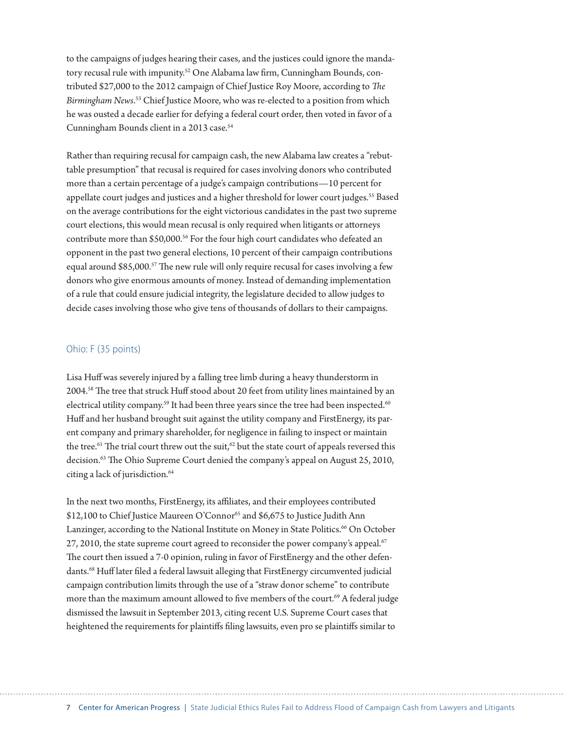to the campaigns of judges hearing their cases, and the justices could ignore the mandatory recusal rule with impunity.<sup>52</sup> One Alabama law firm, Cunningham Bounds, contributed \$27,000 to the 2012 campaign of Chief Justice Roy Moore, according to *The Birmingham News*. 53 Chief Justice Moore, who was re-elected to a position from which he was ousted a decade earlier for defying a federal court order, then voted in favor of a Cunningham Bounds client in a 2013 case.<sup>54</sup>

Rather than requiring recusal for campaign cash, the new Alabama law creates a "rebuttable presumption" that recusal is required for cases involving donors who contributed more than a certain percentage of a judge's campaign contributions—10 percent for appellate court judges and justices and a higher threshold for lower court judges.<sup>55</sup> Based on the average contributions for the eight victorious candidates in the past two supreme court elections, this would mean recusal is only required when litigants or attorneys contribute more than \$50,000.<sup>56</sup> For the four high court candidates who defeated an opponent in the past two general elections, 10 percent of their campaign contributions equal around \$85,000.<sup>57</sup> The new rule will only require recusal for cases involving a few donors who give enormous amounts of money. Instead of demanding implementation of a rule that could ensure judicial integrity, the legislature decided to allow judges to decide cases involving those who give tens of thousands of dollars to their campaigns.

#### Ohio: F (35 points)

Lisa Huff was severely injured by a falling tree limb during a heavy thunderstorm in 2004.58 The tree that struck Huff stood about 20 feet from utility lines maintained by an electrical utility company.<sup>59</sup> It had been three years since the tree had been inspected.<sup>60</sup> Huff and her husband brought suit against the utility company and FirstEnergy, its parent company and primary shareholder, for negligence in failing to inspect or maintain the tree.<sup>61</sup> The trial court threw out the suit,<sup>62</sup> but the state court of appeals reversed this decision.<sup>63</sup> The Ohio Supreme Court denied the company's appeal on August 25, 2010, citing a lack of jurisdiction.<sup>64</sup>

In the next two months, FirstEnergy, its affiliates, and their employees contributed \$12,100 to Chief Justice Maureen O'Connor<sup>65</sup> and \$6,675 to Justice Judith Ann Lanzinger, according to the National Institute on Money in State Politics.<sup>66</sup> On October 27, 2010, the state supreme court agreed to reconsider the power company's appeal. $67$ The court then issued a 7-0 opinion, ruling in favor of FirstEnergy and the other defendants.68 Huff later filed a federal lawsuit alleging that FirstEnergy circumvented judicial campaign contribution limits through the use of a "straw donor scheme" to contribute more than the maximum amount allowed to five members of the court.<sup>69</sup> A federal judge dismissed the lawsuit in September 2013, citing recent U.S. Supreme Court cases that heightened the requirements for plaintiffs filing lawsuits, even pro se plaintiffs similar to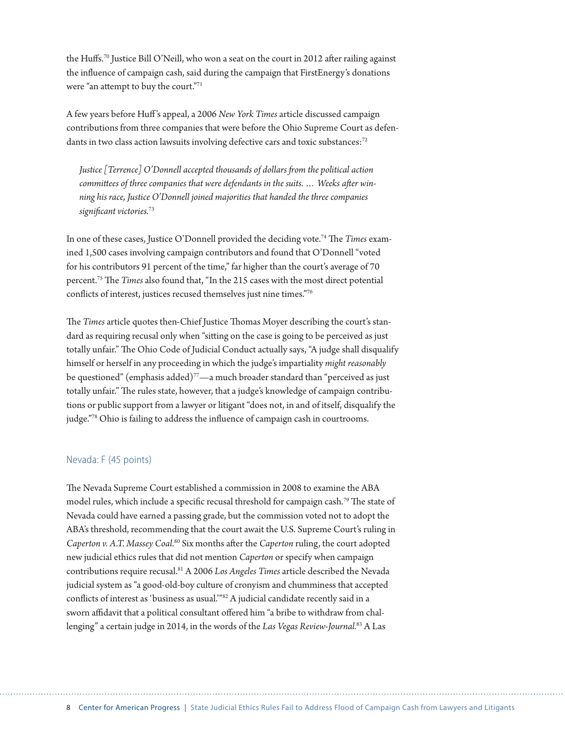the Huffs.70 Justice Bill O'Neill, who won a seat on the court in 2012 after railing against the influence of campaign cash, said during the campaign that FirstEnergy's donations were "an attempt to buy the court."71

A few years before Huff 's appeal, a 2006 *New York Times* article discussed campaign contributions from three companies that were before the Ohio Supreme Court as defendants in two class action lawsuits involving defective cars and toxic substances:<sup>72</sup>

*Justice [Terrence] O'Donnell accepted thousands of dollars from the political action committees of three companies that were defendants in the suits. … Weeks after winning his race, Justice O'Donnell joined majorities that handed the three companies significant victories.*<sup>73</sup>

In one of these cases, Justice O'Donnell provided the deciding vote.74 The *Times* examined 1,500 cases involving campaign contributors and found that O'Donnell "voted for his contributors 91 percent of the time," far higher than the court's average of 70 percent.75 The *Times* also found that, "In the 215 cases with the most direct potential conflicts of interest, justices recused themselves just nine times."76

The *Times* article quotes then-Chief Justice Thomas Moyer describing the court's standard as requiring recusal only when "sitting on the case is going to be perceived as just totally unfair." The Ohio Code of Judicial Conduct actually says, "A judge shall disqualify himself or herself in any proceeding in which the judge's impartiality *might reasonably*  be questioned" (emphasis added)<sup>77</sup>—a much broader standard than "perceived as just totally unfair." The rules state, however, that a judge's knowledge of campaign contributions or public support from a lawyer or litigant "does not, in and of itself, disqualify the judge."78 Ohio is failing to address the influence of campaign cash in courtrooms.

#### Nevada: F (45 points)

The Nevada Supreme Court established a commission in 2008 to examine the ABA model rules, which include a specific recusal threshold for campaign cash.<sup>79</sup> The state of Nevada could have earned a passing grade, but the commission voted not to adopt the ABA's threshold, recommending that the court await the U.S. Supreme Court's ruling in Caperton v. A.T. Massey Coal.<sup>80</sup> Six months after the *Caperton* ruling, the court adopted new judicial ethics rules that did not mention *Caperton* or specify when campaign contributions require recusal.81 A 2006 *Los Angeles Times* article described the Nevada judicial system as "a good-old-boy culture of cronyism and chumminess that accepted conflicts of interest as 'business as usual.'"82 A judicial candidate recently said in a sworn affidavit that a political consultant offered him "a bribe to withdraw from challenging" a certain judge in 2014, in the words of the *Las Vegas Review-Journal.*83 A Las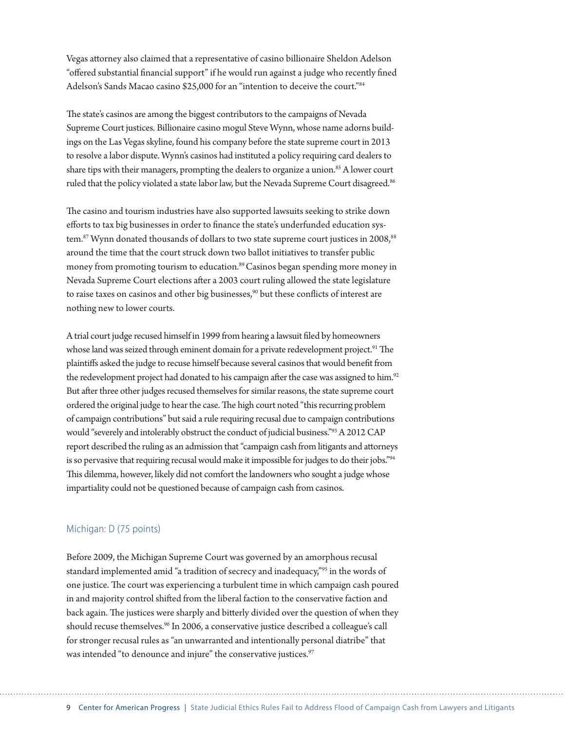Vegas attorney also claimed that a representative of casino billionaire Sheldon Adelson "offered substantial financial support" if he would run against a judge who recently fined Adelson's Sands Macao casino \$25,000 for an "intention to deceive the court."84

The state's casinos are among the biggest contributors to the campaigns of Nevada Supreme Court justices. Billionaire casino mogul Steve Wynn, whose name adorns buildings on the Las Vegas skyline, found his company before the state supreme court in 2013 to resolve a labor dispute. Wynn's casinos had instituted a policy requiring card dealers to share tips with their managers, prompting the dealers to organize a union.<sup>85</sup> A lower court ruled that the policy violated a state labor law, but the Nevada Supreme Court disagreed.<sup>86</sup>

The casino and tourism industries have also supported lawsuits seeking to strike down efforts to tax big businesses in order to finance the state's underfunded education system.<sup>87</sup> Wynn donated thousands of dollars to two state supreme court justices in 2008,<sup>88</sup> around the time that the court struck down two ballot initiatives to transfer public money from promoting tourism to education.<sup>89</sup> Casinos began spending more money in Nevada Supreme Court elections after a 2003 court ruling allowed the state legislature to raise taxes on casinos and other big businesses,<sup>90</sup> but these conflicts of interest are nothing new to lower courts.

A trial court judge recused himself in 1999 from hearing a lawsuit filed by homeowners whose land was seized through eminent domain for a private redevelopment project.<sup>91</sup> The plaintiffs asked the judge to recuse himself because several casinos that would benefit from the redevelopment project had donated to his campaign after the case was assigned to him.<sup>92</sup> But after three other judges recused themselves for similar reasons, the state supreme court ordered the original judge to hear the case. The high court noted "this recurring problem of campaign contributions" but said a rule requiring recusal due to campaign contributions would "severely and intolerably obstruct the conduct of judicial business."93 A 2012 CAP report described the ruling as an admission that "campaign cash from litigants and attorneys is so pervasive that requiring recusal would make it impossible for judges to do their jobs."<sup>94</sup> This dilemma, however, likely did not comfort the landowners who sought a judge whose impartiality could not be questioned because of campaign cash from casinos.

#### Michigan: D (75 points)

Before 2009, the Michigan Supreme Court was governed by an amorphous recusal standard implemented amid "a tradition of secrecy and inadequacy,"95 in the words of one justice. The court was experiencing a turbulent time in which campaign cash poured in and majority control shifted from the liberal faction to the conservative faction and back again. The justices were sharply and bitterly divided over the question of when they should recuse themselves.<sup>96</sup> In 2006, a conservative justice described a colleague's call for stronger recusal rules as "an unwarranted and intentionally personal diatribe" that was intended "to denounce and injure" the conservative justices.<sup>97</sup>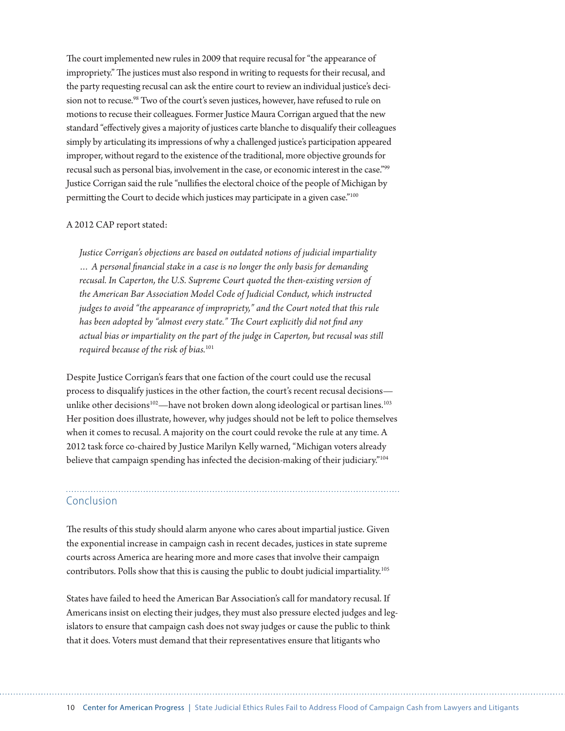The court implemented new rules in 2009 that require recusal for "the appearance of impropriety." The justices must also respond in writing to requests for their recusal, and the party requesting recusal can ask the entire court to review an individual justice's decision not to recuse.<sup>98</sup> Two of the court's seven justices, however, have refused to rule on motions to recuse their colleagues. Former Justice Maura Corrigan argued that the new standard "effectively gives a majority of justices carte blanche to disqualify their colleagues simply by articulating its impressions of why a challenged justice's participation appeared improper, without regard to the existence of the traditional, more objective grounds for recusal such as personal bias, involvement in the case, or economic interest in the case."99 Justice Corrigan said the rule "nullifies the electoral choice of the people of Michigan by permitting the Court to decide which justices may participate in a given case."<sup>100</sup>

#### A 2012 CAP report stated:

*Justice Corrigan's objections are based on outdated notions of judicial impartiality … A personal financial stake in a case is no longer the only basis for demanding recusal. In Caperton, the U.S. Supreme Court quoted the then-existing version of the American Bar Association Model Code of Judicial Conduct, which instructed judges to avoid "the appearance of impropriety," and the Court noted that this rule has been adopted by "almost every state." The Court explicitly did not find any actual bias or impartiality on the part of the judge in Caperton, but recusal was still required because of the risk of bias.*<sup>101</sup>

Despite Justice Corrigan's fears that one faction of the court could use the recusal process to disqualify justices in the other faction, the court's recent recusal decisions unlike other decisions<sup>102</sup>—have not broken down along ideological or partisan lines.<sup>103</sup> Her position does illustrate, however, why judges should not be left to police themselves when it comes to recusal. A majority on the court could revoke the rule at any time. A 2012 task force co-chaired by Justice Marilyn Kelly warned, "Michigan voters already believe that campaign spending has infected the decision-making of their judiciary."104

#### Conclusion

The results of this study should alarm anyone who cares about impartial justice. Given the exponential increase in campaign cash in recent decades, justices in state supreme courts across America are hearing more and more cases that involve their campaign contributors. Polls show that this is causing the public to doubt judicial impartiality.105

States have failed to heed the American Bar Association's call for mandatory recusal. If Americans insist on electing their judges, they must also pressure elected judges and legislators to ensure that campaign cash does not sway judges or cause the public to think that it does. Voters must demand that their representatives ensure that litigants who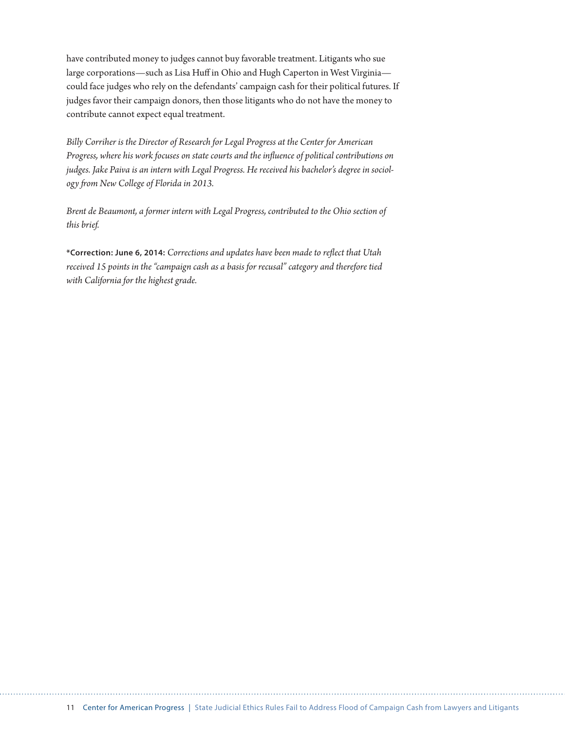have contributed money to judges cannot buy favorable treatment. Litigants who sue large corporations—such as Lisa Huff in Ohio and Hugh Caperton in West Virginia could face judges who rely on the defendants' campaign cash for their political futures. If judges favor their campaign donors, then those litigants who do not have the money to contribute cannot expect equal treatment.

*Billy Corriher is the Director of Research for Legal Progress at the Center for American Progress, where his work focuses on state courts and the influence of political contributions on judges. Jake Paiva is an intern with Legal Progress. He received his bachelor's degree in sociology from New College of Florida in 2013.*

*Brent de Beaumont, a former intern with Legal Progress, contributed to the Ohio section of this brief.*

**\*Correction: June 6, 2014:** *Corrections and updates have been made to reflect that Utah received 15 points in the "campaign cash as a basis for recusal" category and therefore tied with California for the highest grade.*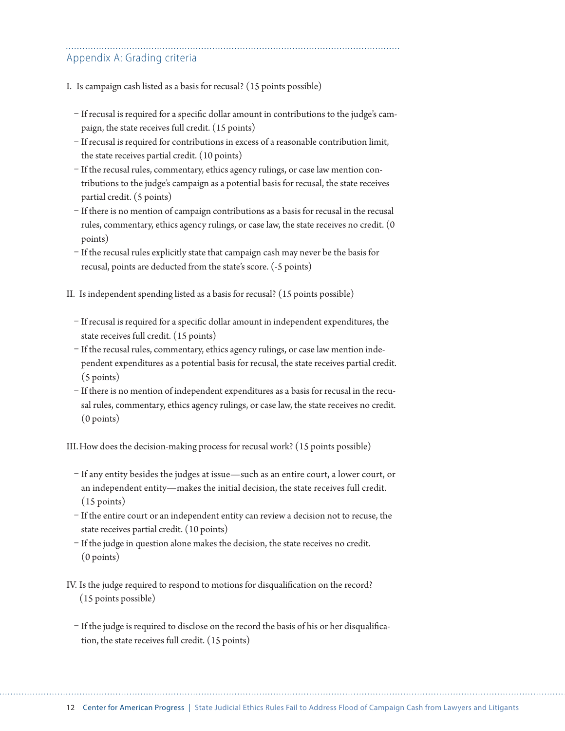### Appendix A: Grading criteria

- I. Is campaign cash listed as a basis for recusal? (15 points possible)
	- If recusal is required for a specific dollar amount in contributions to the judge's campaign, the state receives full credit. (15 points)
	- If recusal is required for contributions in excess of a reasonable contribution limit, the state receives partial credit. (10 points)
	- If the recusal rules, commentary, ethics agency rulings, or case law mention contributions to the judge's campaign as a potential basis for recusal, the state receives partial credit. (5 points)
	- If there is no mention of campaign contributions as a basis for recusal in the recusal rules, commentary, ethics agency rulings, or case law, the state receives no credit. (0 points)
	- If the recusal rules explicitly state that campaign cash may never be the basis for recusal, points are deducted from the state's score. (-5 points)
- II. Is independent spending listed as a basis for recusal? (15 points possible)
	- If recusal is required for a specific dollar amount in independent expenditures, the state receives full credit. (15 points)
	- If the recusal rules, commentary, ethics agency rulings, or case law mention independent expenditures as a potential basis for recusal, the state receives partial credit. (5 points)
	- If there is no mention of independent expenditures as a basis for recusal in the recusal rules, commentary, ethics agency rulings, or case law, the state receives no credit. (0 points)

III.How does the decision-making process for recusal work? (15 points possible)

- If any entity besides the judges at issue—such as an entire court, a lower court, or an independent entity—makes the initial decision, the state receives full credit. (15 points)
- If the entire court or an independent entity can review a decision not to recuse, the state receives partial credit. (10 points)
- If the judge in question alone makes the decision, the state receives no credit. (0 points)
- IV. Is the judge required to respond to motions for disqualification on the record? (15 points possible)
	- If the judge is required to disclose on the record the basis of his or her disqualification, the state receives full credit. (15 points)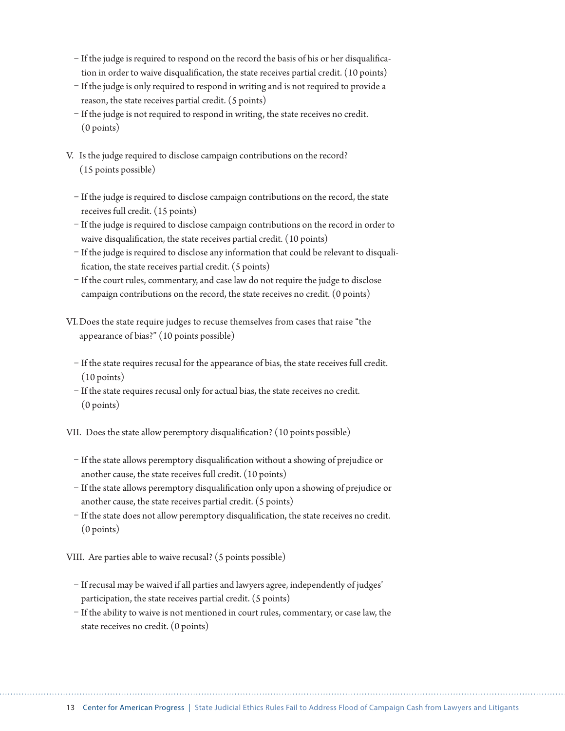- If the judge is required to respond on the record the basis of his or her disqualification in order to waive disqualification, the state receives partial credit. (10 points)
- If the judge is only required to respond in writing and is not required to provide a reason, the state receives partial credit. (5 points)
- If the judge is not required to respond in writing, the state receives no credit. (0 points)
- V. Is the judge required to disclose campaign contributions on the record? (15 points possible)
	- If the judge is required to disclose campaign contributions on the record, the state receives full credit. (15 points)
	- If the judge is required to disclose campaign contributions on the record in order to waive disqualification, the state receives partial credit. (10 points)
	- If the judge is required to disclose any information that could be relevant to disqualification, the state receives partial credit. (5 points)
	- If the court rules, commentary, and case law do not require the judge to disclose campaign contributions on the record, the state receives no credit. (0 points)
- VI.Does the state require judges to recuse themselves from cases that raise "the appearance of bias?" (10 points possible)
	- If the state requires recusal for the appearance of bias, the state receives full credit. (10 points)
	- If the state requires recusal only for actual bias, the state receives no credit. (0 points)

VII. Does the state allow peremptory disqualification? (10 points possible)

- If the state allows peremptory disqualification without a showing of prejudice or another cause, the state receives full credit. (10 points)
- If the state allows peremptory disqualification only upon a showing of prejudice or another cause, the state receives partial credit. (5 points)
- If the state does not allow peremptory disqualification, the state receives no credit. (0 points)

VIII. Are parties able to waive recusal? (5 points possible)

- If recusal may be waived if all parties and lawyers agree, independently of judges' participation, the state receives partial credit. (5 points)
- If the ability to waive is not mentioned in court rules, commentary, or case law, the state receives no credit. (0 points)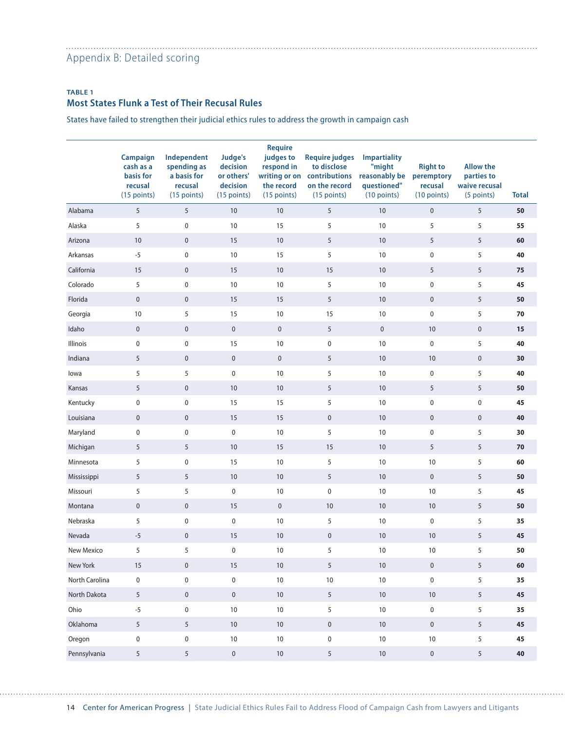#### Appendix B: Detailed scoring

#### **TABLE 1 Most States Flunk a Test of Their Recusal Rules**

States have failed to strengthen their judicial ethics rules to address the growth in campaign cash

|                | Campaign<br>cash as a<br>basis for<br>recusal<br>(15 points) | Independent<br>spending as<br>a basis for<br>recusal<br>(15 points) | Judge's<br>decision<br>or others'<br>decision<br>(15 points) | <b>Require</b><br>judges to<br>respond in<br>the record<br>$(15$ points) | <b>Require judges</b><br>to disclose<br>writing or on contributions<br>on the record<br>$(15$ points) | <b>Impartiality</b><br>"might<br>reasonably be<br>questioned"<br>$(10$ points) | <b>Right to</b><br>peremptory<br>recusal<br>$(10$ points) | <b>Allow the</b><br>parties to<br>waive recusal<br>(5 points) | <b>Total</b> |
|----------------|--------------------------------------------------------------|---------------------------------------------------------------------|--------------------------------------------------------------|--------------------------------------------------------------------------|-------------------------------------------------------------------------------------------------------|--------------------------------------------------------------------------------|-----------------------------------------------------------|---------------------------------------------------------------|--------------|
| Alabama        | 5                                                            | 5                                                                   | 10                                                           | 10                                                                       | 5                                                                                                     | 10                                                                             | $\pmb{0}$                                                 | 5                                                             | 50           |
| Alaska         | 5                                                            | $\pmb{0}$                                                           | 10                                                           | 15                                                                       | 5                                                                                                     | 10                                                                             | 5                                                         | 5                                                             | 55           |
| Arizona        | 10                                                           | $\pmb{0}$                                                           | 15                                                           | $10$                                                                     | 5                                                                                                     | 10                                                                             | 5                                                         | 5                                                             | 60           |
| Arkansas       | $-5$                                                         | $\pmb{0}$                                                           | 10                                                           | 15                                                                       | 5                                                                                                     | 10                                                                             | 0                                                         | 5                                                             | 40           |
| California     | 15                                                           | $\mathbf 0$                                                         | 15                                                           | $10$                                                                     | 15                                                                                                    | 10                                                                             | 5                                                         | 5                                                             | 75           |
| Colorado       | 5                                                            | $\pmb{0}$                                                           | 10                                                           | $10\,$                                                                   | 5                                                                                                     | 10                                                                             | 0                                                         | 5                                                             | 45           |
| Florida        | $\pmb{0}$                                                    | $\mathbf 0$                                                         | 15                                                           | 15                                                                       | 5                                                                                                     | 10                                                                             | $\pmb{0}$                                                 | 5                                                             | 50           |
| Georgia        | 10                                                           | 5                                                                   | 15                                                           | $10\,$                                                                   | 15                                                                                                    | 10                                                                             | 0                                                         | 5                                                             | 70           |
| Idaho          | $\mathbf 0$                                                  | $\mathbf 0$                                                         | $\pmb{0}$                                                    | $\pmb{0}$                                                                | $\sqrt{5}$                                                                                            | $\pmb{0}$                                                                      | $10\,$                                                    | $\pmb{0}$                                                     | 15           |
| Illinois       | $\pmb{0}$                                                    | $\pmb{0}$                                                           | 15                                                           | $10\,$                                                                   | $\pmb{0}$                                                                                             | 10                                                                             | 0                                                         | 5                                                             | 40           |
| Indiana        | 5                                                            | $\mathbf 0$                                                         | $\pmb{0}$                                                    | $\pmb{0}$                                                                | 5                                                                                                     | 10                                                                             | $10$                                                      | $\pmb{0}$                                                     | 30           |
| lowa           | 5                                                            | 5                                                                   | $\pmb{0}$                                                    | $10\,$                                                                   | 5                                                                                                     | 10                                                                             | 0                                                         | 5                                                             | 40           |
| Kansas         | 5                                                            | $\mathbf 0$                                                         | 10                                                           | 10                                                                       | 5                                                                                                     | 10                                                                             | 5                                                         | 5                                                             | 50           |
| Kentucky       | $\mathbf 0$                                                  | 0                                                                   | 15                                                           | 15                                                                       | 5                                                                                                     | 10                                                                             | 0                                                         | $\pmb{0}$                                                     | 45           |
| Louisiana      | $\pmb{0}$                                                    | $\mathbf 0$                                                         | 15                                                           | 15                                                                       | $\pmb{0}$                                                                                             | 10                                                                             | $\pmb{0}$                                                 | $\pmb{0}$                                                     | 40           |
| Maryland       | $\pmb{0}$                                                    | $\pmb{0}$                                                           | $\pmb{0}$                                                    | $10$                                                                     | 5                                                                                                     | 10                                                                             | 0                                                         | 5                                                             | 30           |
| Michigan       | 5                                                            | 5                                                                   | 10                                                           | 15                                                                       | 15                                                                                                    | 10                                                                             | 5                                                         | 5                                                             | 70           |
| Minnesota      | 5                                                            | 0                                                                   | 15                                                           | $10\,$                                                                   | 5                                                                                                     | 10                                                                             | $10$                                                      | 5                                                             | 60           |
| Mississippi    | 5                                                            | 5                                                                   | 10                                                           | 10                                                                       | 5                                                                                                     | 10                                                                             | $\pmb{0}$                                                 | 5                                                             | 50           |
| Missouri       | 5                                                            | 5                                                                   | $\pmb{0}$                                                    | $10$                                                                     | $\pmb{0}$                                                                                             | 10                                                                             | $10$                                                      | 5                                                             | 45           |
| Montana        | $\pmb{0}$                                                    | $\mathbf 0$                                                         | 15                                                           | $\pmb{0}$                                                                | $10\,$                                                                                                | 10                                                                             | $10$                                                      | 5                                                             | 50           |
| Nebraska       | 5                                                            | $\pmb{0}$                                                           | $\pmb{0}$                                                    | $10$                                                                     | 5                                                                                                     | 10                                                                             | 0                                                         | 5                                                             | 35           |
| Nevada         | $-5$                                                         | $\mathbf 0$                                                         | 15                                                           | 10                                                                       | $\pmb{0}$                                                                                             | 10                                                                             | $10$                                                      | 5                                                             | 45           |
| New Mexico     | 5                                                            | 5                                                                   | $\pmb{0}$                                                    | 10                                                                       | 5                                                                                                     | 10                                                                             | 10                                                        | 5                                                             | 50           |
| New York       | 15                                                           | $\mathbf 0$                                                         | 15                                                           | 10                                                                       | $5\overline{)}$                                                                                       | 10                                                                             | $\pmb{0}$                                                 | 5                                                             | 60           |
| North Carolina | $\pmb{0}$                                                    | $\pmb{0}$                                                           | $\mathbf 0$                                                  | $10\,$                                                                   | $10\,$                                                                                                | $10\,$                                                                         | $\pmb{0}$                                                 | 5                                                             | 35           |
| North Dakota   | $5\phantom{.0}$                                              | $\mathbf 0$                                                         | $\mathbf 0$                                                  | $10\,$                                                                   | $\sqrt{5}$                                                                                            | $10\,$                                                                         | $10\,$                                                    | $5\phantom{.0}$                                               | 45           |
| Ohio           | $-5$                                                         | $\mathbf 0$                                                         | $10\,$                                                       | 10                                                                       | 5                                                                                                     | $10\,$                                                                         | 0                                                         | 5                                                             | 35           |
| Oklahoma       | 5                                                            | $5\,$                                                               | $10$                                                         | $10\,$                                                                   | $\pmb{0}$                                                                                             | $10\,$                                                                         | $\pmb{0}$                                                 | 5                                                             | 45           |
| Oregon         | $\pmb{0}$                                                    | $\pmb{0}$                                                           | $10\,$                                                       | $10\,$                                                                   | $\pmb{0}$                                                                                             | $10\,$                                                                         | $10\,$                                                    | 5                                                             | 45           |
| Pennsylvania   | $5\,$                                                        | $\overline{5}$                                                      | $\mathbf 0$                                                  | $10\,$                                                                   | $5\overline{)}$                                                                                       | $10\,$                                                                         | $\pmb{0}$                                                 | 5 <sup>5</sup>                                                | 40           |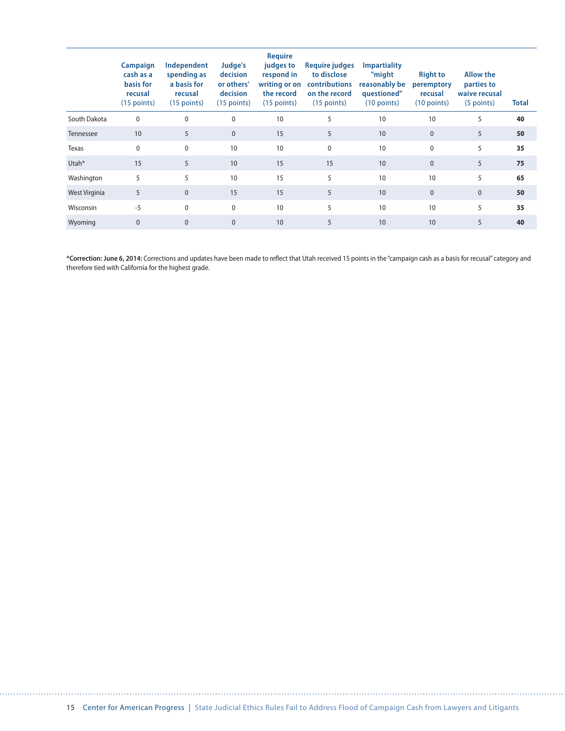|               | Campaign<br>cash as a<br>basis for<br>recusal<br>$(15$ points) | Independent<br>spending as<br>a basis for<br>recusal<br>$(15$ points) | Judge's<br>decision<br>or others'<br>decision<br>$(15$ points) | <b>Require</b><br>judges to<br>respond in<br>writing or on<br>the record<br>$(15$ points) | <b>Require judges</b><br>to disclose<br>contributions<br>on the record<br>$(15$ points) | <b>Impartiality</b><br>"might<br>reasonably be<br>questioned"<br>$(10$ points) | <b>Right to</b><br>peremptory<br>recusal<br>$(10$ points) | <b>Allow the</b><br>parties to<br>waive recusal<br>(5 points) | <b>Total</b> |
|---------------|----------------------------------------------------------------|-----------------------------------------------------------------------|----------------------------------------------------------------|-------------------------------------------------------------------------------------------|-----------------------------------------------------------------------------------------|--------------------------------------------------------------------------------|-----------------------------------------------------------|---------------------------------------------------------------|--------------|
| South Dakota  | $\mathbf 0$                                                    | $\mathbf 0$                                                           | $\mathbf 0$                                                    | 10                                                                                        | 5                                                                                       | 10                                                                             | 10                                                        | 5                                                             | 40           |
| Tennessee     | 10                                                             | 5                                                                     | $\pmb{0}$                                                      | 15                                                                                        | 5                                                                                       | 10                                                                             | 0                                                         | 5                                                             | 50           |
| Texas         | $\mathbf 0$                                                    | $\mathbf 0$                                                           | 10                                                             | 10                                                                                        | $\mathbf{0}$                                                                            | 10                                                                             | 0                                                         | 5                                                             | 35           |
| Utah*         | 15                                                             | 5                                                                     | 10                                                             | 15                                                                                        | 15                                                                                      | 10                                                                             | $\mathbf{0}$                                              | 5                                                             | 75           |
| Washington    | 5                                                              | 5                                                                     | 10                                                             | 15                                                                                        | 5                                                                                       | 10                                                                             | 10                                                        | 5                                                             | 65           |
| West Virginia | 5                                                              | $\mathbf{0}$                                                          | 15                                                             | 15                                                                                        | 5                                                                                       | 10                                                                             | $\mathbf{0}$                                              | $\mathbf{0}$                                                  | 50           |
| Wisconsin     | $-5$                                                           | $\mathbf 0$                                                           | $\mathbf 0$                                                    | 10                                                                                        | 5                                                                                       | 10                                                                             | 10                                                        | 5                                                             | 35           |
| Wyoming       | $\mathbf{0}$                                                   | $\mathbf{0}$                                                          | $\mathbf{0}$                                                   | 10                                                                                        | 5                                                                                       | 10                                                                             | 10 <sup>10</sup>                                          | 5                                                             | 40           |

**\*Correction: June 6, 2014:** Corrections and updates have been made to reflect that Utah received 15 points in the "campaign cash as a basis for recusal" category and therefore tied with California for the highest grade.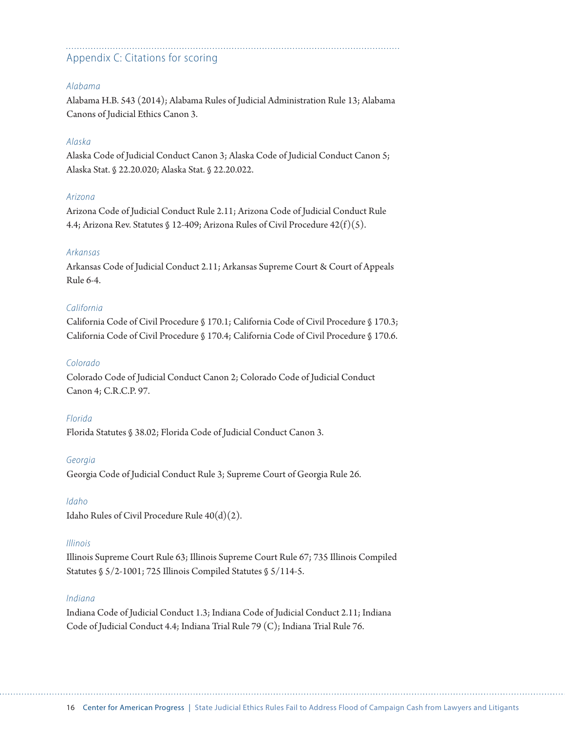## Appendix C: Citations for scoring

#### *Alabama*

Alabama H.B. 543 (2014); Alabama Rules of Judicial Administration Rule 13; Alabama Canons of Judicial Ethics Canon 3.

#### *Alaska*

Alaska Code of Judicial Conduct Canon 3; Alaska Code of Judicial Conduct Canon 5; Alaska Stat. § 22.20.020; Alaska Stat. § 22.20.022.

#### *Arizona*

Arizona Code of Judicial Conduct Rule 2.11; Arizona Code of Judicial Conduct Rule 4.4; Arizona Rev. Statutes § 12-409; Arizona Rules of Civil Procedure 42(f)(5).

#### *Arkansas*

Arkansas Code of Judicial Conduct 2.11; Arkansas Supreme Court & Court of Appeals Rule 6-4.

#### *California*

California Code of Civil Procedure § 170.1; California Code of Civil Procedure § 170.3; California Code of Civil Procedure § 170.4; California Code of Civil Procedure § 170.6.

#### *Colorado*

Colorado Code of Judicial Conduct Canon 2; Colorado Code of Judicial Conduct Canon 4; C.R.C.P. 97.

#### *Florida*

Florida Statutes § 38.02; Florida Code of Judicial Conduct Canon 3.

#### *Georgia*

Georgia Code of Judicial Conduct Rule 3; Supreme Court of Georgia Rule 26.

#### *Idaho*

Idaho Rules of Civil Procedure Rule 40(d)(2).

#### *Illinois*

Illinois Supreme Court Rule 63; Illinois Supreme Court Rule 67; 735 Illinois Compiled Statutes § 5/2-1001; 725 Illinois Compiled Statutes § 5/114-5.

#### *Indiana*

Indiana Code of Judicial Conduct 1.3; Indiana Code of Judicial Conduct 2.11; Indiana Code of Judicial Conduct 4.4; Indiana Trial Rule 79 (C); Indiana Trial Rule 76.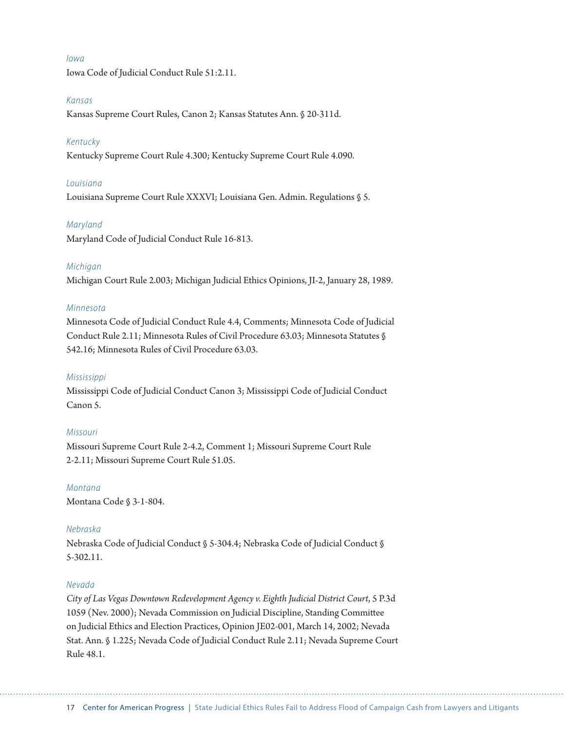#### *Iowa*

Iowa Code of Judicial Conduct Rule 51:2.11.

#### *Kansas*

Kansas Supreme Court Rules, Canon 2; Kansas Statutes Ann. § 20-311d.

#### *Kentucky*

Kentucky Supreme Court Rule 4.300; Kentucky Supreme Court Rule 4.090.

#### *Louisiana*

Louisiana Supreme Court Rule XXXVI; Louisiana Gen. Admin. Regulations § 5.

#### *Maryland*

Maryland Code of Judicial Conduct Rule 16-813.

#### *Michigan*

Michigan Court Rule 2.003; Michigan Judicial Ethics Opinions, JI-2, January 28, 1989.

#### *Minnesota*

Minnesota Code of Judicial Conduct Rule 4.4, Comments; Minnesota Code of Judicial Conduct Rule 2.11; Minnesota Rules of Civil Procedure 63.03; Minnesota Statutes § 542.16; Minnesota Rules of Civil Procedure 63.03.

#### *Mississippi*

Mississippi Code of Judicial Conduct Canon 3; Mississippi Code of Judicial Conduct Canon 5.

#### *Missouri*

Missouri Supreme Court Rule 2-4.2, Comment 1; Missouri Supreme Court Rule 2-2.11; Missouri Supreme Court Rule 51.05.

*Montana* Montana Code § 3-1-804.

#### *Nebraska*

Nebraska Code of Judicial Conduct § 5-304.4; Nebraska Code of Judicial Conduct § 5-302.11.

#### *Nevada*

*City of Las Vegas Downtown Redevelopment Agency v. Eighth Judicial District Court*, 5 P.3d 1059 (Nev. 2000); Nevada Commission on Judicial Discipline, Standing Committee on Judicial Ethics and Election Practices, Opinion JE02-001, March 14, 2002; Nevada Stat. Ann. § 1.225; Nevada Code of Judicial Conduct Rule 2.11; Nevada Supreme Court Rule 48.1.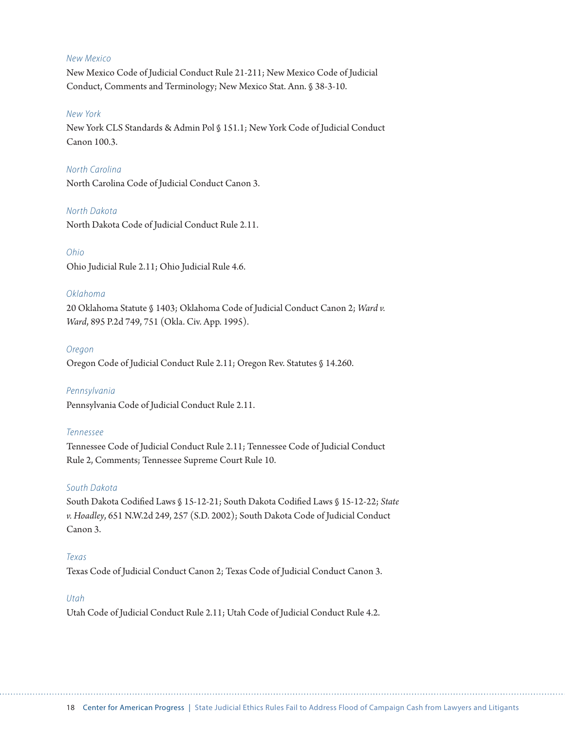#### *New Mexico*

New Mexico Code of Judicial Conduct Rule 21-211; New Mexico Code of Judicial Conduct, Comments and Terminology; New Mexico Stat. Ann. § 38-3-10.

#### *New York*

New York CLS Standards & Admin Pol § 151.1; New York Code of Judicial Conduct Canon 100.3.

#### *North Carolina*

North Carolina Code of Judicial Conduct Canon 3.

#### *North Dakota*

North Dakota Code of Judicial Conduct Rule 2.11.

#### *Ohio*

Ohio Judicial Rule 2.11; Ohio Judicial Rule 4.6.

#### *Oklahoma*

20 Oklahoma Statute § 1403; Oklahoma Code of Judicial Conduct Canon 2; *Ward v. Ward*, 895 P.2d 749, 751 (Okla. Civ. App. 1995).

#### *Oregon*

Oregon Code of Judicial Conduct Rule 2.11; Oregon Rev. Statutes § 14.260.

#### *Pennsylvania*

Pennsylvania Code of Judicial Conduct Rule 2.11.

#### *Tennessee*

Tennessee Code of Judicial Conduct Rule 2.11; Tennessee Code of Judicial Conduct Rule 2, Comments; Tennessee Supreme Court Rule 10.

#### *South Dakota*

South Dakota Codified Laws § 15-12-21; South Dakota Codified Laws § 15-12-22; *State v. Hoadley*, 651 N.W.2d 249, 257 (S.D. 2002); South Dakota Code of Judicial Conduct Canon 3.

#### *Texas*

Texas Code of Judicial Conduct Canon 2; Texas Code of Judicial Conduct Canon 3.

#### *Utah*

Utah Code of Judicial Conduct Rule 2.11; Utah Code of Judicial Conduct Rule 4.2.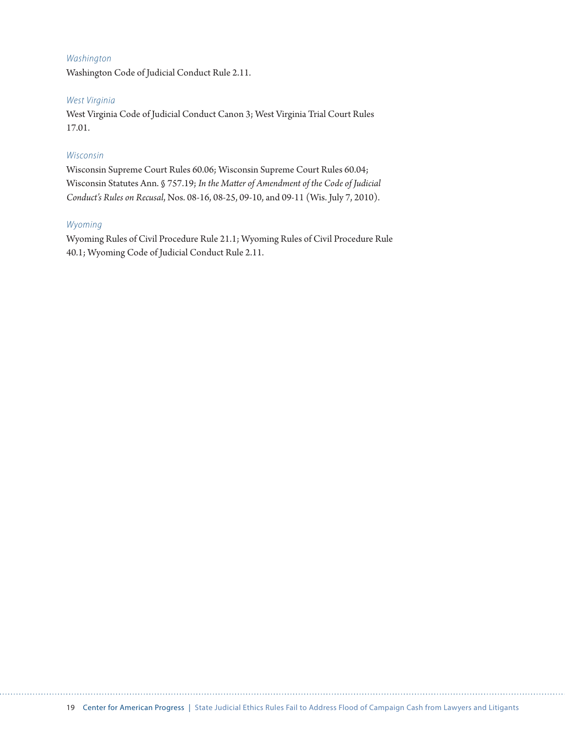#### *Washington*

Washington Code of Judicial Conduct Rule 2.11.

#### *West Virginia*

West Virginia Code of Judicial Conduct Canon 3; West Virginia Trial Court Rules 17.01.

#### *Wisconsin*

Wisconsin Supreme Court Rules 60.06; Wisconsin Supreme Court Rules 60.04; Wisconsin Statutes Ann. § 757.19; *In the Matter of Amendment of the Code of Judicial Conduct's Rules on Recusal*, Nos. 08-16, 08-25, 09-10, and 09-11 (Wis. July 7, 2010).

#### *Wyoming*

Wyoming Rules of Civil Procedure Rule 21.1; Wyoming Rules of Civil Procedure Rule 40.1; Wyoming Code of Judicial Conduct Rule 2.11.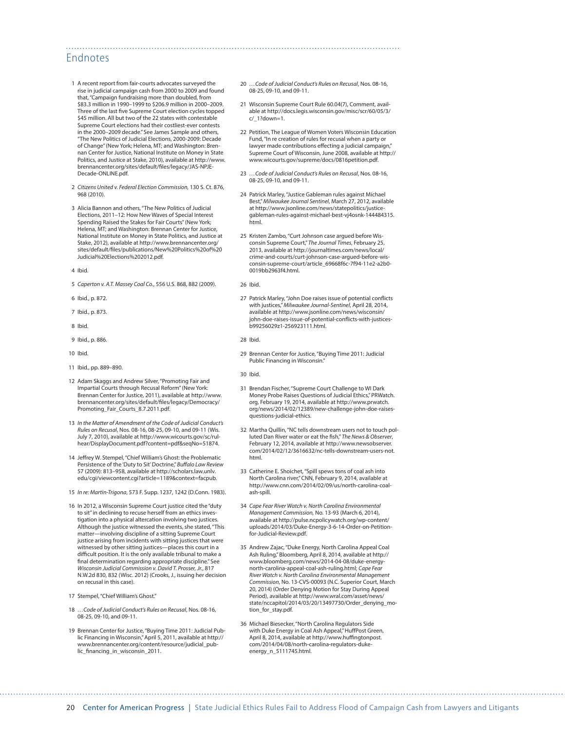#### Endnotes

- 1 A recent report from fair-courts advocates surveyed the rise in judicial campaign cash from 2000 to 2009 and found that, "Campaign fundraising more than doubled, from \$83.3 million in 1990–1999 to \$206.9 million in 2000–2009. Three of the last five Supreme Court election cycles topped \$45 million. All but two of the 22 states with contestable Supreme Court elections had their costliest-ever contests in the 2000–2009 decade." See James Sample and others, "The New Politics of Judicial Elections, 2000-2009: Decade of Change" (New York; Helena, MT; and Washington: Brennan Center for Justice, National Institute on Money in State Politics, and Justice at Stake, 2010), available at [http://www.](http://www.brennancenter.org/sites/default/files/legacy/JAS-NPJE-Decade-ONLINE.pdf) [brennancenter.org/sites/default/files/legacy/JAS-NPJE-](http://www.brennancenter.org/sites/default/files/legacy/JAS-NPJE-Decade-ONLINE.pdf)[Decade-ONLINE.pdf](http://www.brennancenter.org/sites/default/files/legacy/JAS-NPJE-Decade-ONLINE.pdf).
- 2 *Citizens United v. Federal Election Commission,* 130 S. Ct. 876, 968 (2010).
- 3 Alicia Bannon and others, "The New Politics of Judicial Elections, 2011–12: How New Waves of Special Interest Spending Raised the Stakes for Fair Courts" (New York; Helena, MT; and Washington: Brennan Center for Justice, National Institute on Money in State Politics, and Justice at Stake, 2012), available at [http://www.brennancenter.org/](http://www.brennancenter.org/sites/default/files/publications/New%20Politics%20of%20Judicial%20Elections%202012.pdf) [sites/default/files/publications/New%20Politics%20of%20](http://www.brennancenter.org/sites/default/files/publications/New%20Politics%20of%20Judicial%20Elections%202012.pdf) [Judicial%20Elections%202012.pdf](http://www.brennancenter.org/sites/default/files/publications/New%20Politics%20of%20Judicial%20Elections%202012.pdf).
- 4 Ibid.
- 5 *Caperton v. A.T. Massey Coal Co.*, 556 U.S. 868, 882 (2009).
- 6 Ibid., p. 872.
- 7 Ibid., p. 873.
- 8 Ibid.
- 9 Ibid., p. 886.
- 10 Ibid.
- 11 Ibid., pp. 889–890.
- 12 Adam Skaggs and Andrew Silver, "Promoting Fair and Impartial Courts through Recusal Reform" (New York: Brennan Center for Justice, 2011), available at [http://www.](http://www.brennancenter.org/sites/default/files/legacy/Democracy/Promoting_Fair_Courts_8.7.2011.pdf) [brennancenter.org/sites/default/files/legacy/Democracy/](http://www.brennancenter.org/sites/default/files/legacy/Democracy/Promoting_Fair_Courts_8.7.2011.pdf) [Promoting\\_Fair\\_Courts\\_8.7.2011.pdf](http://www.brennancenter.org/sites/default/files/legacy/Democracy/Promoting_Fair_Courts_8.7.2011.pdf).
- 13 *In the Matter of Amendment of the Code of Judicial Conduct's Rules on Recusal*, Nos. 08-16, 08-25, 09-10, and 09-11 (Wis. July 7, 2010), available at [http://www.wicourts.gov/sc/rul](http://www.wicourts.gov/sc/rulhear/DisplayDocument.pdf?content=pdf&seqNo=51874)[hear/DisplayDocument.pdf?content=pdf&seqNo=51874](http://www.wicourts.gov/sc/rulhear/DisplayDocument.pdf?content=pdf&seqNo=51874).
- 14 Jeffrey W. Stempel, "Chief William's Ghost: the Problematic Persistence of the 'Duty to Sit' Doctrine," *Buffalo Law Review*  57 (2009): 813–958, available at [http://scholars.law.unlv.](http://scholars.law.unlv.edu/cgi/viewcontent.cgi?article=1189&context=facpub) [edu/cgi/viewcontent.cgi?article=1189&context=facpub.](http://scholars.law.unlv.edu/cgi/viewcontent.cgi?article=1189&context=facpub)
- 15 *In re: Martin-Trigona*, 573 F. Supp. 1237, 1242 (D.Conn. 1983).
- 16 In 2012, a Wisconsin Supreme Court justice cited the "duty to sit" in declining to recuse herself from an ethics investigation into a physical altercation involving two justices. Although the justice witnessed the events, she stated, "This matter—involving discipline of a sitting Supreme Court justice arising from incidents with sitting justices that were witnessed by other sitting justices—places this court in a difficult position. It is the only available tribunal to make a final determination regarding appropriate discipline." See *Wisconsin Judicial Commission v. David T. Prosser, Jr.*, 817 N.W.2d 830, 832 (Wisc. 2012) (Crooks, J., issuing her decision on recusal in this case).
- 17 Stempel, "Chief William's Ghost."
- 18 *…Code of Judicial Conduct's Rules on Recusal*, Nos. 08-16, 08-25, 09-10, and 09-11.
- 19 Brennan Center for Justice, "Buying Time 2011: Judicial Public Financing in Wisconsin," April 5, 2011, available at [http://](http://www.brennancenter.org/content/resource/judicial_public_financing_in_wisconsin_2011) [www.brennancenter.org/content/resource/judicial\\_pub](http://www.brennancenter.org/content/resource/judicial_public_financing_in_wisconsin_2011)[lic\\_financing\\_in\\_wisconsin\\_2011](http://www.brennancenter.org/content/resource/judicial_public_financing_in_wisconsin_2011).
- 20 *…Code of Judicial Conduct's Rules on Recusal*, Nos. 08-16, 08-25, 09-10, and 09-11.
- 21 Wisconsin Supreme Court Rule 60.04(7), Comment, available at [http://docs.legis.wisconsin.gov/misc/scr/60/05/3/](http://docs.legis.wisconsin.gov/misc/scr/60/05/3/c/_1?down=1) [c/\\_1?down=1](http://docs.legis.wisconsin.gov/misc/scr/60/05/3/c/_1?down=1).
- 22 Petition, The League of Women Voters Wisconsin Education Fund, "In re creation of rules for recusal when a party or lawyer made contributions effecting a judicial campaign, Supreme Court of Wisconsin, June 2008, available at [http://](http://www.wicourts.gov/supreme/docs/0816petition.pdf) [www.wicourts.gov/supreme/docs/0816petition.pdf](http://www.wicourts.gov/supreme/docs/0816petition.pdf).
- 23 *…Code of Judicial Conduct's Rules on Recusal*, Nos. 08-16, 08-25, 09-10, and 09-11.
- 24 Patrick Marley, "Justice Gableman rules against Michael Best," *Milwaukee Journal Sentinel*, March 27, 2012, available at [http://www.jsonline.com/news/statepolitics/justice](http://www.jsonline.com/news/statepolitics/justice-gableman-rules-against-michael-best-vj4osnk-144484315.html)[gableman-rules-against-michael-best-vj4osnk-144484315.](http://www.jsonline.com/news/statepolitics/justice-gableman-rules-against-michael-best-vj4osnk-144484315.html) [html.](http://www.jsonline.com/news/statepolitics/justice-gableman-rules-against-michael-best-vj4osnk-144484315.html)
- 25 Kristen Zambo, "Curt Johnson case argued before Wisconsin Supreme Court," *The Journal Times*, February 25, 2013, available at [http://journaltimes.com/news/local/](http://journaltimes.com/news/local/crime-and-courts/curt-johnson-case-argued-before-wisconsin-supreme-court/article_69668f6c-7f94-11e2-a2b0-0019bb2963f4.html) [crime-and-courts/curt-johnson-case-argued-before-wis](http://journaltimes.com/news/local/crime-and-courts/curt-johnson-case-argued-before-wisconsin-supreme-court/article_69668f6c-7f94-11e2-a2b0-0019bb2963f4.html)[consin-supreme-court/article\\_69668f6c-7f94-11e2-a2b0-](http://journaltimes.com/news/local/crime-and-courts/curt-johnson-case-argued-before-wisconsin-supreme-court/article_69668f6c-7f94-11e2-a2b0-0019bb2963f4.html) [0019bb2963f4.html](http://journaltimes.com/news/local/crime-and-courts/curt-johnson-case-argued-before-wisconsin-supreme-court/article_69668f6c-7f94-11e2-a2b0-0019bb2963f4.html).
- 26 Ibid.

- 27 Patrick Marley, "John Doe raises issue of potential conflicts with justices," *Milwaukee Journal-Sentinel*, April 28, 2014, available at [http://www.jsonline.com/news/wisconsin/](http://www.jsonline.com/news/wisconsin/john-doe-raises-issue-of-potential-conflicts-with-justices-b99256029z1-256923111.html) [john-doe-raises-issue-of-potential-conflicts-with-justices](http://www.jsonline.com/news/wisconsin/john-doe-raises-issue-of-potential-conflicts-with-justices-b99256029z1-256923111.html)[b99256029z1-256923111.html.](http://www.jsonline.com/news/wisconsin/john-doe-raises-issue-of-potential-conflicts-with-justices-b99256029z1-256923111.html)
- 28 Ibid.
- 29 Brennan Center for Justice, "Buying Time 2011: Judicial Public Financing in Wisconsin."
- 30 Ibid.
- 31 Brendan Fischer, "Supreme Court Challenge to WI Dark Money Probe Raises Questions of Judicial Ethics," PRWatch. org, February 19, 2014, available at [http://www.prwatch.](http://www.prwatch.org/news/2014/02/12389/new-challenge-john-doe-raises-questions-judicial-ethics) [org/news/2014/02/12389/new-challenge-john-doe-raises](http://www.prwatch.org/news/2014/02/12389/new-challenge-john-doe-raises-questions-judicial-ethics)[questions-judicial-ethics](http://www.prwatch.org/news/2014/02/12389/new-challenge-john-doe-raises-questions-judicial-ethics).
- 32 Martha Quillin, "NC tells downstream users not to touch polluted Dan River water or eat the fish," *The News & Observer*, February 12, 2014, available at [http://www.newsobserver.](http://www.newsobserver.com/2014/02/12/3616632/nc-tells-downstream-users-not.html) [com/2014/02/12/3616632/nc-tells-downstream-users-not.](http://www.newsobserver.com/2014/02/12/3616632/nc-tells-downstream-users-not.html) [html.](http://www.newsobserver.com/2014/02/12/3616632/nc-tells-downstream-users-not.html)
- 33 Catherine E. Shoichet, "Spill spews tons of coal ash into North Carolina river," CNN, February 9, 2014, available at [http://www.cnn.com/2014/02/09/us/north-carolina-coal](http://www.cnn.com/2014/02/09/us/north-carolina-coal-ash-spill/)[ash-spill](http://www.cnn.com/2014/02/09/us/north-carolina-coal-ash-spill/).
- 34 *Cape Fear River Watch v. North Carolina Environmental Management Commission,* No. 13-93 (March 6, 2014), available at [http://pulse.ncpolicywatch.org/wp-content/](http://pulse.ncpolicywatch.org/wp-content/uploads/2014/03/Duke-Energy-3-6-14-Order-on-Petition-for-Judicial-Review.pdf) [uploads/2014/03/Duke-Energy-3-6-14-Order-on-Petition](http://pulse.ncpolicywatch.org/wp-content/uploads/2014/03/Duke-Energy-3-6-14-Order-on-Petition-for-Judicial-Review.pdf)[for-Judicial-Review.pdf](http://pulse.ncpolicywatch.org/wp-content/uploads/2014/03/Duke-Energy-3-6-14-Order-on-Petition-for-Judicial-Review.pdf).
- 35 Andrew Zajac, "Duke Energy, North Carolina Appeal Coal Ash Ruling," Bloomberg, April 8, 2014, available at [http://](http://www.bloomberg.com/news/2014-04-08/duke-energy-north-carolina-appeal-coal-ash-ruling.html) [www.bloomberg.com/news/2014-04-08/duke-energy](http://www.bloomberg.com/news/2014-04-08/duke-energy-north-carolina-appeal-coal-ash-ruling.html)[north-carolina-appeal-coal-ash-ruling.html;](http://www.bloomberg.com/news/2014-04-08/duke-energy-north-carolina-appeal-coal-ash-ruling.html) *Cape Fear River Watch v. North Carolina Environmental Management Commission*, No. 13-CVS-00093 (N.C. Superior Court, March 20, 2014) (Order Denying Motion for Stay During Appeal Period), available at [http://www.wral.com/asset/news/](http://www.wral.com/asset/news/state/nccapitol/2014/03/20/13497730/Order_denying_motion_for_stay.pdf) [state/nccapitol/2014/03/20/13497730/Order\\_denying\\_mo](http://www.wral.com/asset/news/state/nccapitol/2014/03/20/13497730/Order_denying_motion_for_stay.pdf)[tion\\_for\\_stay.pdf](http://www.wral.com/asset/news/state/nccapitol/2014/03/20/13497730/Order_denying_motion_for_stay.pdf).
- 36 Michael Biesecker, "North Carolina Regulators Side with Duke Energy in Coal Ash Appeal," HuffPost Green, April 8, 2014, available at [http://www.huffingtonpost.](http://www.huffingtonpost.com/2014/04/08/north-carolina-regulators-duke-energy_n_5111745.html) [com/2014/04/08/north-carolina-regulators-duke](http://www.huffingtonpost.com/2014/04/08/north-carolina-regulators-duke-energy_n_5111745.html)[energy\\_n\\_5111745.html](http://www.huffingtonpost.com/2014/04/08/north-carolina-regulators-duke-energy_n_5111745.html).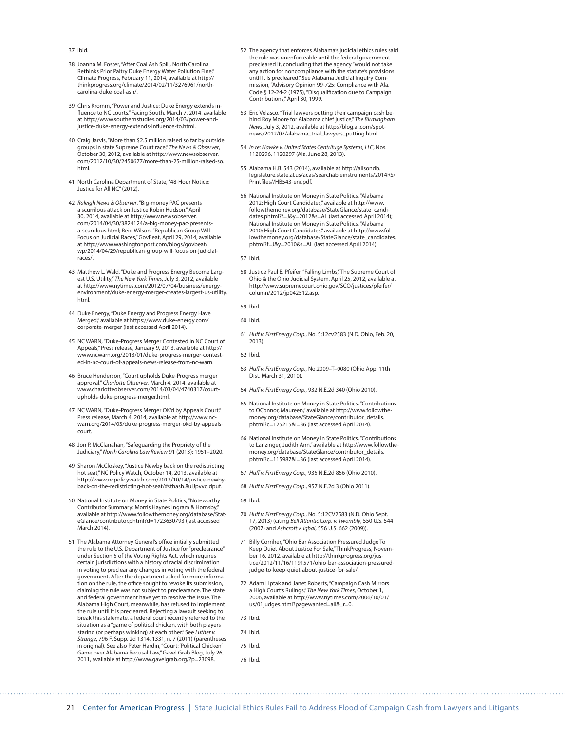#### 37 Ibid.

- 38 Joanna M. Foster, ["After Coal Ash Spill, North Carolina](http://thinkprogress.org/climate/2014/02/11/3276961/north-carolina-duke-coal-ash/)  [Rethinks Prior Paltry Duke Energy Water Pollution Fine](http://thinkprogress.org/climate/2014/02/11/3276961/north-carolina-duke-coal-ash/). Climate Progress, February 11, 2014, available at [http://](http://thinkprogress.org/climate/2014/02/11/3276961/north-carolina-duke-coal-ash/) [thinkprogress.org/climate/2014/02/11/3276961/north](http://thinkprogress.org/climate/2014/02/11/3276961/north-carolina-duke-coal-ash/)[carolina-duke-coal-ash/](http://thinkprogress.org/climate/2014/02/11/3276961/north-carolina-duke-coal-ash/).
- 39 Chris Kromm, "Power and Justice: Duke Energy extends influence to NC courts," Facing South, March 7, 2014, available at [http://www.southernstudies.org/2014/03/power-and](http://www.southernstudies.org/2014/03/power-and-justice-duke-energy-extends-influence-to.html)[justice-duke-energy-extends-influence-to.html.](http://www.southernstudies.org/2014/03/power-and-justice-duke-energy-extends-influence-to.html)
- 40 Craig Jarvis, "More than \$2.5 million raised so far by outside groups in state Supreme Court race," *The News & Observer,*<br>October 30, 2012, available at [http://www.newsobserver.](http://www.newsobserver.com/2012/10/30/2450677/more-than-25-million-raised-so.html) [com/2012/10/30/2450677/more-than-25-million-raised-so.](http://www.newsobserver.com/2012/10/30/2450677/more-than-25-million-raised-so.html) [html.](http://www.newsobserver.com/2012/10/30/2450677/more-than-25-million-raised-so.html)
- 41 North Carolina Department of State, "48-Hour Notice: Justice for All NC" (2012).
- 42 *Raleigh News & Observer*, "Big-money PAC presents a scurrilous attack on Justice Robin Hudson," April 30, 2014, available at [http://www.newsobserver.](http://www.newsobserver.com/2014/04/30/3824124/a-big-money-pac-presents-a-scurrilous.html) [com/2014/04/30/3824124/a-big-money-pac-presents](http://www.newsobserver.com/2014/04/30/3824124/a-big-money-pac-presents-a-scurrilous.html)[a-scurrilous.html](http://www.newsobserver.com/2014/04/30/3824124/a-big-money-pac-presents-a-scurrilous.html); Reid Wilson, "Republican Group Will Focus on Judicial Races," GovBeat, April 29, 2014, available at [http://www.washingtonpost.com/blogs/govbeat/](http://www.washingtonpost.com/blogs/govbeat/wp/2014/04/29/republican-group-will-focus-on-judicial-races/) [wp/2014/04/29/republican-group-will-focus-on-judicial](http://www.washingtonpost.com/blogs/govbeat/wp/2014/04/29/republican-group-will-focus-on-judicial-races/)[races/](http://www.washingtonpost.com/blogs/govbeat/wp/2014/04/29/republican-group-will-focus-on-judicial-races/).
- 43 Matthew L. Wald, "Duke and Progress Energy Become Largest U.S. Utility," *The New York Times*, July 3, 2012, available at [http://www.nytimes.com/2012/07/04/business/energy](http://www.nytimes.com/2012/07/04/business/energy-environment/duke-energy-merger-creates-largest-us-utility.html)[environment/duke-energy-merger-creates-largest-us-utility.](http://www.nytimes.com/2012/07/04/business/energy-environment/duke-energy-merger-creates-largest-us-utility.html) [html.](http://www.nytimes.com/2012/07/04/business/energy-environment/duke-energy-merger-creates-largest-us-utility.html)
- 44 Duke Energy, "Duke Energy and Progress Energy Have Merged," available at [https://www.duke-energy.com/](https://www.duke-energy.com/corporate-merger/) [corporate-merger](https://www.duke-energy.com/corporate-merger/) (last accessed April 2014).
- 45 NC WARN, "Duke-Progress Merger Contested in NC Court of Appeals," Press release, January 9, 2013, available at [http://](http://www.ncwarn.org/2013/01/duke-progress-merger-contested-in-nc-court-of-appeals-news-release-from-nc-warn/) [www.ncwarn.org/2013/01/duke-progress-merger-contest](http://www.ncwarn.org/2013/01/duke-progress-merger-contested-in-nc-court-of-appeals-news-release-from-nc-warn/)[ed-in-nc-court-of-appeals-news-release-from-nc-warn](http://www.ncwarn.org/2013/01/duke-progress-merger-contested-in-nc-court-of-appeals-news-release-from-nc-warn/).
- 46 Bruce Henderson, "Court upholds Duke-Progress merger approval," *Charlotte Observer*, March 4, 2014, available at [www.charlotteobserver.com/2014/03/04/4740317/court](http://www.charlotteobserver.com/2014/03/04/4740317/court-upholds-duke-progress-merger.html)[upholds-duke-progress-merger.html.](http://www.charlotteobserver.com/2014/03/04/4740317/court-upholds-duke-progress-merger.html)
- 47 NC WARN, "Duke-Progress Merger OK'd by Appeals Court," Press release, March 4, 2014, available at [http://www.nc](http://www.ncwarn.org/2014/03/duke-progress-merger-okd-by-appeals-court/)[warn.org/2014/03/duke-progress-merger-okd-by-appeals](http://www.ncwarn.org/2014/03/duke-progress-merger-okd-by-appeals-court/)[court](http://www.ncwarn.org/2014/03/duke-progress-merger-okd-by-appeals-court/).
- 48 Jon P. McClanahan, "Safeguarding the Propriety of the Judiciary," *North Carolina Law Review* 91 (2013): 1951–2020.
- 49 Sharon McCloskey, "Justice Newby back on the redistricting hot seat," NC Policy Watch, October 14, 2013, available at [http://www.ncpolicywatch.com/2013/10/14/justice-newby](http://www.ncpolicywatch.com/2013/10/14/justice-newby-back-on-the-redistricting-hot-seat/#sthash.8uIJpvvo.dpuf)[back-on-the-redistricting-hot-seat/#sthash.8uIJpvvo.dpuf](http://www.ncpolicywatch.com/2013/10/14/justice-newby-back-on-the-redistricting-hot-seat/#sthash.8uIJpvvo.dpuf).
- 50 National Institute on Money in State Politics, "Noteworthy Contributor Summary: Morris Haynes Ingram & Hornsby," available at [http://www.followthemoney.org/database/Stat](http://www.followthemoney.org/database/StateGlance/contributor.phtml?d=1723630793)[eGlance/contributor.phtml?d=1723630793](http://www.followthemoney.org/database/StateGlance/contributor.phtml?d=1723630793) (last accessed March 2014).
- 51 The Alabama Attorney General's office initially submitted the rule to the U.S. Department of Justice for "preclearance" under Section 5 of the Voting Rights Act, which requires certain jurisdictions with a history of racial discrimination in voting to preclear any changes in voting with the federal government. After the department asked for more information on the rule, the office sought to revoke its submission, claiming the rule was not subject to preclearance. The state and federal government have yet to resolve the issue. The Alabama High Court, meanwhile, has refused to implement the rule until it is precleared. Rejecting a lawsuit seeking to break this stalemate, a federal court recently referred to the situation as a "game of political chicken, with both players staring (or perhaps winking) at each other." See *Luther v. Strange*, 796 F. Supp. 2d 1314, 1331, n. 7 (2011) (parentheses in original). See also Peter Hardin, "Court: 'Political Chicken' Game over Alabama Recusal Law," Gavel Grab Blog, July 26, 2011, available at [http://www.gavelgrab.org/?p=23098.](http://www.gavelgrab.org/?p=23098)
- 52 The agency that enforces Alabama's judicial ethics rules said the rule was unenforceable until the federal government precleared it, concluding that the agency "would not take any action for noncompliance with the statute's provisions until it is precleared." See Alabama Judicial Inquiry Commission, "Advisory Opinion 99-725: Compliance with Ala. Code § 12-24-2 (1975), "Disqualification due to Campaign Contributions," April 30, 1999.
- 53 Eric Velasco, "Trial lawyers putting their campaign cash behind Roy Moore for Alabama chief justice," *The Birmingham News*, July 3, 2012, available at [http://blog.al.com/spot](http://blog.al.com/spotnews/2012/07/alabama_trial_lawyers_putting.html)[news/2012/07/alabama\\_trial\\_lawyers\\_putting.html](http://blog.al.com/spotnews/2012/07/alabama_trial_lawyers_putting.html).
- 54 *In re: Hawke v. United States Centrifuge Systems, LLC*, Nos. 1120296, 1120297 (Ala. June 28, 2013).
- 55 Alabama H.B. 543 (2014), available at [http://alisondb.](http://alisondb.legislature.state.al.us/acas/searchableinstruments/2014RS/Printfiles//HB543-enr.pdf) [legislature.state.al.us/acas/searchableinstruments/2014RS/](http://alisondb.legislature.state.al.us/acas/searchableinstruments/2014RS/Printfiles//HB543-enr.pdf) [Printfiles//HB543-enr.pdf](http://alisondb.legislature.state.al.us/acas/searchableinstruments/2014RS/Printfiles//HB543-enr.pdf).
- 56 National Institute on Money in State Politics, "Alabama 2012: High Court Candidates," available at [http://www.](http://www.followthemoney.org/database/StateGlance/state_candidates.phtml?f=J&y=2012&s=AL) [followthemoney.org/database/StateGlance/state\\_candi](http://www.followthemoney.org/database/StateGlance/state_candidates.phtml?f=J&y=2012&s=AL)[dates.phtml?f=J&y=2012&s=AL](http://www.followthemoney.org/database/StateGlance/state_candidates.phtml?f=J&y=2012&s=AL) (last accessed April 2014); National Institute on Money in State Politics, "Alabama 2010: High Court Candidates," available at [http://www.fol](http://www.followthemoney.org/database/StateGlance/state_candidates.phtml?f=J&y=2010&s=AL)[lowthemoney.org/database/StateGlance/state\\_candidates.](http://www.followthemoney.org/database/StateGlance/state_candidates.phtml?f=J&y=2010&s=AL) [phtml?f=J&y=2010&s=AL](http://www.followthemoney.org/database/StateGlance/state_candidates.phtml?f=J&y=2010&s=AL) (last accessed April 2014).
- 57 Ibid.
- 58 Justice Paul E. Pfeifer, "Falling Limbs," The Supreme Court of Ohio & the Ohio Judicial System, April 25, 2012, available at [http://www.supremecourt.ohio.gov/SCO/justices/pfeifer/](http://www.supremecourt.ohio.gov/SCO/justices/pfeifer/column/2012/jp042512.asp) [column/2012/jp042512.asp.](http://www.supremecourt.ohio.gov/SCO/justices/pfeifer/column/2012/jp042512.asp)
- 59 Ibid.
- 60 Ibid.
- 61 *Huff v. FirstEnergy Corp.*, No. 5:12cv2583 (N.D. Ohio, Feb. 20, 2013).
- 62 Ibid.
- 63 *Huff v. FirstEnergy Corp.*, No.2009–T–0080 (Ohio App. 11th Dist. March 31, 2010).
- 64 *Huff v. FirstEnergy Corp.*, 932 N.E.2d 340 (Ohio 2010).
- 65 National Institute on Money in State Politics, "Contributions to OConnor, Maureen," available at [http://www.followthe](http://www.followthemoney.org/database/StateGlance/contributor_details.phtml?c=125215&i=36)[money.org/database/StateGlance/contributor\\_details.](http://www.followthemoney.org/database/StateGlance/contributor_details.phtml?c=125215&i=36) [phtml?c=125215&i=36](http://www.followthemoney.org/database/StateGlance/contributor_details.phtml?c=125215&i=36) (last accessed April 2014).
- 66 National Institute on Money in State Politics, "Contributions to Lanzinger, Judith Ann," available at [http://www.followthe](http://www.followthemoney.org/database/StateGlance/contributor_details.phtml?c=115987&i=36)[money.org/database/StateGlance/contributor\\_details.](http://www.followthemoney.org/database/StateGlance/contributor_details.phtml?c=115987&i=36) [phtml?c=115987&i=36](http://www.followthemoney.org/database/StateGlance/contributor_details.phtml?c=115987&i=36) (last accessed April 2014).
- 67 *Huff v. FirstEnergy Corp.,* 935 N.E.2d 856 (Ohio 2010).
- 68 *Huff v. FirstEnergy Corp*., 957 N.E.2d 3 (Ohio 2011).
- 69 Ibid.
- 70 *Huff v. FirstEnergy Corp.*, No. 5:12CV2583 (N.D. Ohio Sept. 17, 2013) (citing *Bell Atlantic Corp. v. Twombly*, 550 U.S. 544 (2007) and *Ashcroft v. Iqbal*, 556 U.S. 662 (2009)).
- 71 Billy Corriher, "Ohio Bar Association Pressured Judge To Keep Quiet About Justice For Sale," ThinkProgress, November 16, 2012, available at [http://thinkprogress.org/jus](http://thinkprogress.org/justice/2012/11/16/1191571/ohio-bar-association-pressured-judge-to-keep-quiet-about-justice-for-sale/)[tice/2012/11/16/1191571/ohio-bar-association-pressured](http://thinkprogress.org/justice/2012/11/16/1191571/ohio-bar-association-pressured-judge-to-keep-quiet-about-justice-for-sale/)[judge-to-keep-quiet-about-justice-for-sale/.](http://thinkprogress.org/justice/2012/11/16/1191571/ohio-bar-association-pressured-judge-to-keep-quiet-about-justice-for-sale/)
- 72 Adam Liptak and Janet Roberts, "Campaign Cash Mirrors a High Court's Rulings," *The New York Times*, October 1, 2006, available at [http://www.nytimes.com/2006/10/01/](http://www.nytimes.com/2006/10/01/us/01judges.html?pagewanted=all&_r=0) [us/01judges.html?pagewanted=all&\\_r=0](http://www.nytimes.com/2006/10/01/us/01judges.html?pagewanted=all&_r=0).

- 73 Ibid.
- 74 Ibid.
- 75 Ibid.
- 76 Ibid.